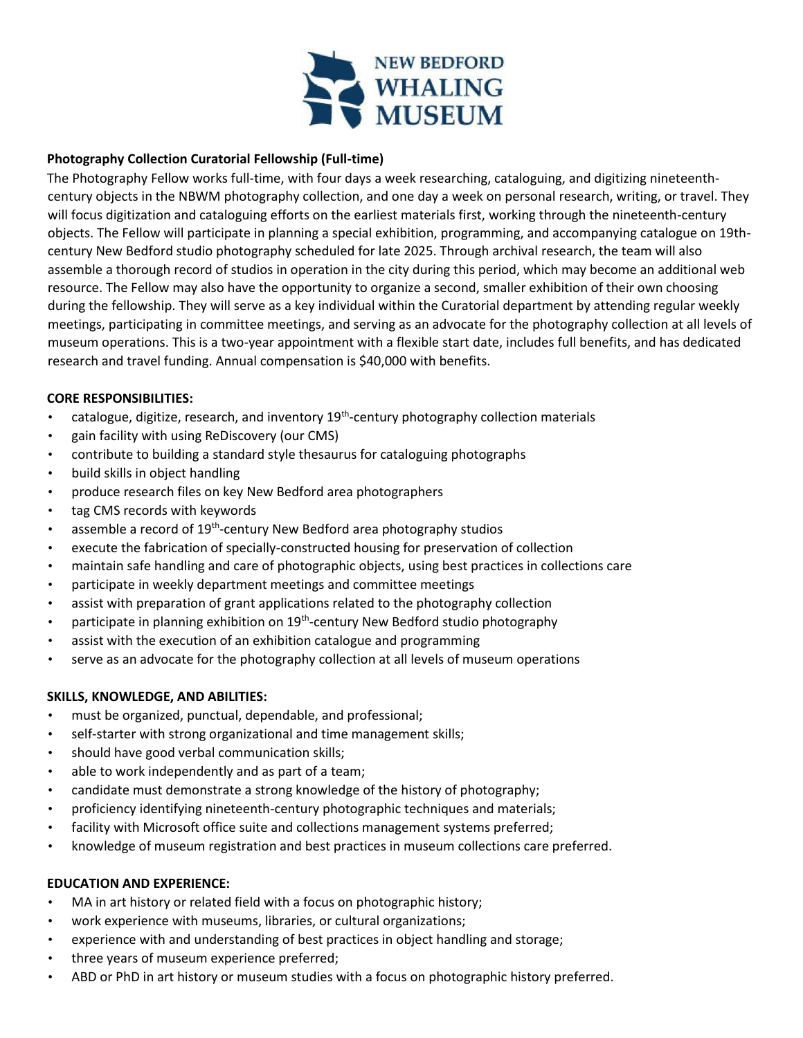

# **Photography Collection Curatorial Fellowship (Full-time)**

The Photography Fellow works full-time, with four days a week researching, cataloguing, and digitizing nineteenthcentury objects in the NBWM photography collection, and one day a week on personal research, writing, or travel. They will focus digitization and cataloguing efforts on the earliest materials first, working through the nineteenth-century objects. The Fellow will participate in planning a special exhibition, programming, and accompanying catalogue on 19thcentury New Bedford studio photography scheduled for late 2025. Through archival research, the team will also assemble a thorough record of studios in operation in the city during this period, which may become an additional web resource. The Fellow may also have the opportunity to organize a second, smaller exhibition of their own choosing during the fellowship. They will serve as a key individual within the Curatorial department by attending regular weekly meetings, participating in committee meetings, and serving as an advocate for the photography collection at all levels of museum operations. This is a two-year appointment with a flexible start date, includes full benefits, and has dedicated research and travel funding. Annual compensation is \$40,000 with benefits.

### **CORE RESPONSIBILITIES:**

- catalogue, digitize, research, and inventory 19<sup>th</sup>-century photography collection materials
- gain facility with using ReDiscovery (our CMS)
- contribute to building a standard style thesaurus for cataloguing photographs
- build skills in object handling
- produce research files on key New Bedford area photographers
- tag CMS records with keywords
- assemble a record of 19<sup>th</sup>-century New Bedford area photography studios
- execute the fabrication of specially-constructed housing for preservation of collection
- maintain safe handling and care of photographic objects, using best practices in collections care
- participate in weekly department meetings and committee meetings
- assist with preparation of grant applications related to the photography collection
- participate in planning exhibition on  $19<sup>th</sup>$ -century New Bedford studio photography
- assist with the execution of an exhibition catalogue and programming
- serve as an advocate for the photography collection at all levels of museum operations

### **SKILLS, KNOWLEDGE, AND ABILITIES:**

- must be organized, punctual, dependable, and professional;
- self-starter with strong organizational and time management skills;
- should have good verbal communication skills;
- able to work independently and as part of a team;
- candidate must demonstrate a strong knowledge of the history of photography;
- proficiency identifying nineteenth-century photographic techniques and materials;
- facility with Microsoft office suite and collections management systems preferred;
- knowledge of museum registration and best practices in museum collections care preferred.

# **EDUCATION AND EXPERIENCE:**

- MA in art history or related field with a focus on photographic history;
- work experience with museums, libraries, or cultural organizations;
- experience with and understanding of best practices in object handling and storage;
- three years of museum experience preferred;
- ABD or PhD in art history or museum studies with a focus on photographic history preferred.